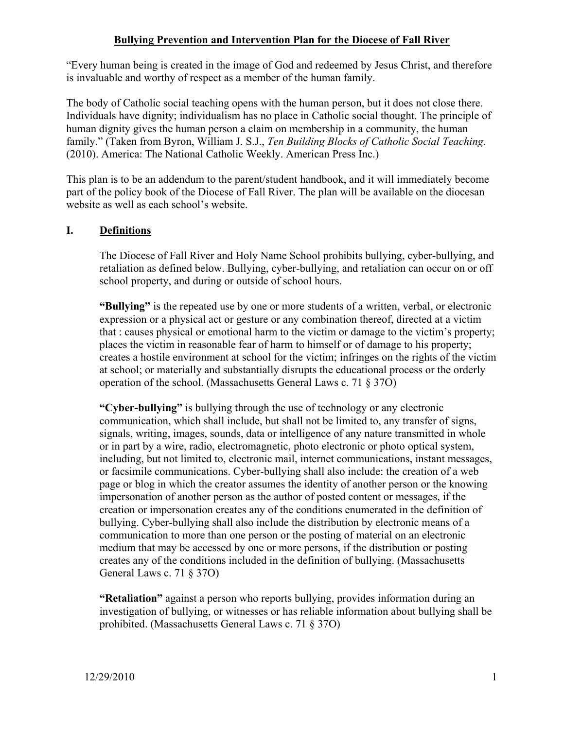"Every human being is created in the image of God and redeemed by Jesus Christ, and therefore is invaluable and worthy of respect as a member of the human family.

The body of Catholic social teaching opens with the human person, but it does not close there. Individuals have dignity; individualism has no place in Catholic social thought. The principle of human dignity gives the human person a claim on membership in a community, the human family." (Taken from Byron, William J. S.J., *Ten Building Blocks of Catholic Social Teaching.* (2010). America: The National Catholic Weekly. American Press Inc.)

This plan is to be an addendum to the parent/student handbook, and it will immediately become part of the policy book of the Diocese of Fall River. The plan will be available on the diocesan website as well as each school's website.

### **I. Definitions**

The Diocese of Fall River and Holy Name School prohibits bullying, cyber-bullying, and retaliation as defined below. Bullying, cyber-bullying, and retaliation can occur on or off school property, and during or outside of school hours.

**"Bullying"** is the repeated use by one or more students of a written, verbal, or electronic expression or a physical act or gesture or any combination thereof, directed at a victim that : causes physical or emotional harm to the victim or damage to the victim's property; places the victim in reasonable fear of harm to himself or of damage to his property; creates a hostile environment at school for the victim; infringes on the rights of the victim at school; or materially and substantially disrupts the educational process or the orderly operation of the school. (Massachusetts General Laws c. 71 § 37O)

**"Cyber-bullying"** is bullying through the use of technology or any electronic communication, which shall include, but shall not be limited to, any transfer of signs, signals, writing, images, sounds, data or intelligence of any nature transmitted in whole or in part by a wire, radio, electromagnetic, photo electronic or photo optical system, including, but not limited to, electronic mail, internet communications, instant messages, or facsimile communications. Cyber-bullying shall also include: the creation of a web page or blog in which the creator assumes the identity of another person or the knowing impersonation of another person as the author of posted content or messages, if the creation or impersonation creates any of the conditions enumerated in the definition of bullying. Cyber-bullying shall also include the distribution by electronic means of a communication to more than one person or the posting of material on an electronic medium that may be accessed by one or more persons, if the distribution or posting creates any of the conditions included in the definition of bullying. (Massachusetts General Laws c. 71 § 37O)

**"Retaliation"** against a person who reports bullying, provides information during an investigation of bullying, or witnesses or has reliable information about bullying shall be prohibited. (Massachusetts General Laws c. 71 § 37O)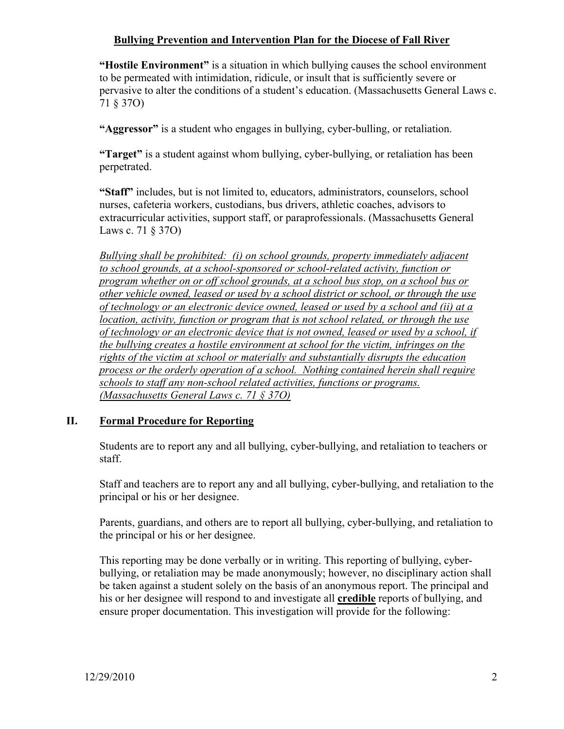**"Hostile Environment"** is a situation in which bullying causes the school environment to be permeated with intimidation, ridicule, or insult that is sufficiently severe or pervasive to alter the conditions of a student's education. (Massachusetts General Laws c. 71 § 37O)

**"Aggressor"** is a student who engages in bullying, cyber-bulling, or retaliation.

**"Target"** is a student against whom bullying, cyber-bullying, or retaliation has been perpetrated.

**"Staff"** includes, but is not limited to, educators, administrators, counselors, school nurses, cafeteria workers, custodians, bus drivers, athletic coaches, advisors to extracurricular activities, support staff, or paraprofessionals. (Massachusetts General Laws c. 71 § 37O)

*Bullying shall be prohibited: (i) on school grounds, property immediately adjacent to school grounds, at a school-sponsored or school-related activity, function or program whether on or off school grounds, at a school bus stop, on a school bus or other vehicle owned, leased or used by a school district or school, or through the use of technology or an electronic device owned, leased or used by a school and (ii) at a location, activity, function or program that is not school related, or through the use of technology or an electronic device that is not owned, leased or used by a school, if the bullying creates a hostile environment at school for the victim, infringes on the rights of the victim at school or materially and substantially disrupts the education process or the orderly operation of a school. Nothing contained herein shall require schools to staff any non-school related activities, functions or programs. (Massachusetts General Laws c. 71 § 37O)*

#### **II. Formal Procedure for Reporting**

Students are to report any and all bullying, cyber-bullying, and retaliation to teachers or staff.

Staff and teachers are to report any and all bullying, cyber-bullying, and retaliation to the principal or his or her designee.

Parents, guardians, and others are to report all bullying, cyber-bullying, and retaliation to the principal or his or her designee.

This reporting may be done verbally or in writing. This reporting of bullying, cyberbullying, or retaliation may be made anonymously; however, no disciplinary action shall be taken against a student solely on the basis of an anonymous report. The principal and his or her designee will respond to and investigate all **credible** reports of bullying, and ensure proper documentation. This investigation will provide for the following: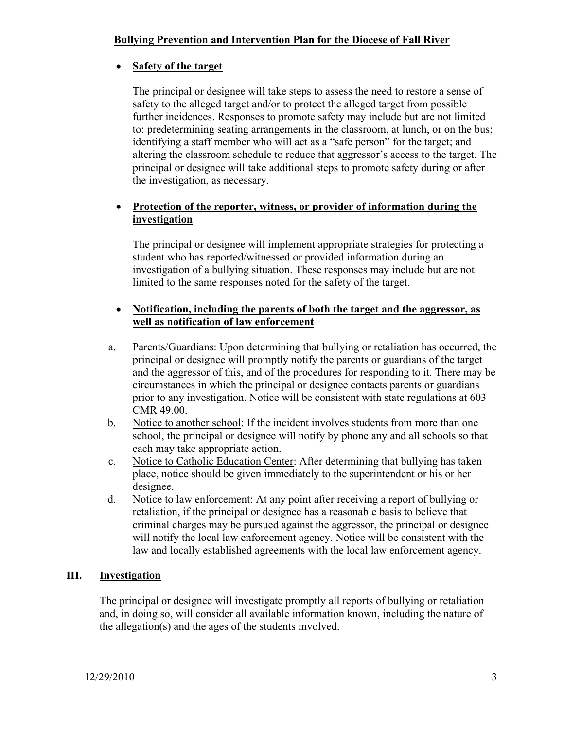# • **Safety of the target**

The principal or designee will take steps to assess the need to restore a sense of safety to the alleged target and/or to protect the alleged target from possible further incidences. Responses to promote safety may include but are not limited to: predetermining seating arrangements in the classroom, at lunch, or on the bus; identifying a staff member who will act as a "safe person" for the target; and altering the classroom schedule to reduce that aggressor's access to the target. The principal or designee will take additional steps to promote safety during or after the investigation, as necessary.

# • **Protection of the reporter, witness, or provider of information during the investigation**

The principal or designee will implement appropriate strategies for protecting a student who has reported/witnessed or provided information during an investigation of a bullying situation. These responses may include but are not limited to the same responses noted for the safety of the target.

## • **Notification, including the parents of both the target and the aggressor, as well as notification of law enforcement**

- a. Parents/Guardians: Upon determining that bullying or retaliation has occurred, the principal or designee will promptly notify the parents or guardians of the target and the aggressor of this, and of the procedures for responding to it. There may be circumstances in which the principal or designee contacts parents or guardians prior to any investigation. Notice will be consistent with state regulations at 603 CMR 49.00.
- b. Notice to another school: If the incident involves students from more than one school, the principal or designee will notify by phone any and all schools so that each may take appropriate action.
- c. Notice to Catholic Education Center: After determining that bullying has taken place, notice should be given immediately to the superintendent or his or her designee.
- d. Notice to law enforcement: At any point after receiving a report of bullying or retaliation, if the principal or designee has a reasonable basis to believe that criminal charges may be pursued against the aggressor, the principal or designee will notify the local law enforcement agency. Notice will be consistent with the law and locally established agreements with the local law enforcement agency.

# **III. Investigation**

The principal or designee will investigate promptly all reports of bullying or retaliation and, in doing so, will consider all available information known, including the nature of the allegation(s) and the ages of the students involved.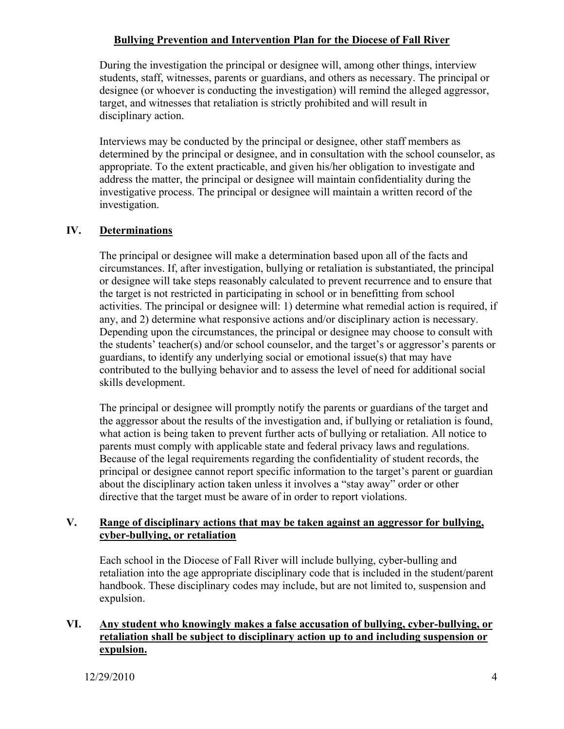During the investigation the principal or designee will, among other things, interview students, staff, witnesses, parents or guardians, and others as necessary. The principal or designee (or whoever is conducting the investigation) will remind the alleged aggressor, target, and witnesses that retaliation is strictly prohibited and will result in disciplinary action.

Interviews may be conducted by the principal or designee, other staff members as determined by the principal or designee, and in consultation with the school counselor, as appropriate. To the extent practicable, and given his/her obligation to investigate and address the matter, the principal or designee will maintain confidentiality during the investigative process. The principal or designee will maintain a written record of the investigation.

### **IV. Determinations**

The principal or designee will make a determination based upon all of the facts and circumstances. If, after investigation, bullying or retaliation is substantiated, the principal or designee will take steps reasonably calculated to prevent recurrence and to ensure that the target is not restricted in participating in school or in benefitting from school activities. The principal or designee will: 1) determine what remedial action is required, if any, and 2) determine what responsive actions and/or disciplinary action is necessary. Depending upon the circumstances, the principal or designee may choose to consult with the students' teacher(s) and/or school counselor, and the target's or aggressor's parents or guardians, to identify any underlying social or emotional issue(s) that may have contributed to the bullying behavior and to assess the level of need for additional social skills development.

The principal or designee will promptly notify the parents or guardians of the target and the aggressor about the results of the investigation and, if bullying or retaliation is found, what action is being taken to prevent further acts of bullying or retaliation. All notice to parents must comply with applicable state and federal privacy laws and regulations. Because of the legal requirements regarding the confidentiality of student records, the principal or designee cannot report specific information to the target's parent or guardian about the disciplinary action taken unless it involves a "stay away" order or other directive that the target must be aware of in order to report violations.

#### **V. Range of disciplinary actions that may be taken against an aggressor for bullying, cyber-bullying, or retaliation**

Each school in the Diocese of Fall River will include bullying, cyber-bulling and retaliation into the age appropriate disciplinary code that is included in the student/parent handbook. These disciplinary codes may include, but are not limited to, suspension and expulsion.

## **VI. Any student who knowingly makes a false accusation of bullying, cyber-bullying, or retaliation shall be subject to disciplinary action up to and including suspension or expulsion.**

12/29/2010 4